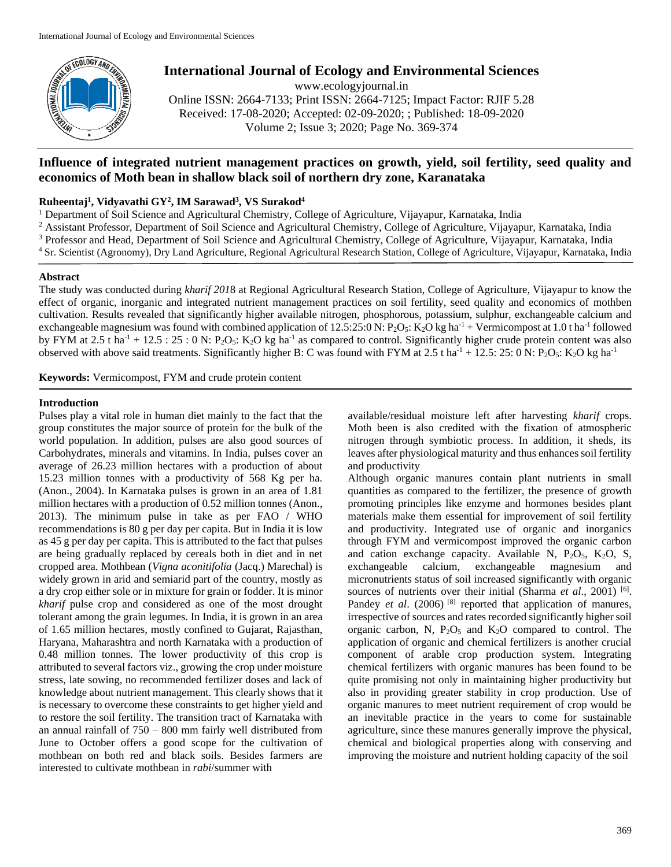

# **International Journal of Ecology and Environmental Sciences**

www.ecologyjournal.in Online ISSN: 2664-7133; Print ISSN: 2664-7125; Impact Factor: RJIF 5.28 Received: 17-08-2020; Accepted: 02-09-2020; ; Published: 18-09-2020 Volume 2; Issue 3; 2020; Page No. 369-374

# **Influence of integrated nutrient management practices on growth, yield, soil fertility, seed quality and economics of Moth bean in shallow black soil of northern dry zone, Karanataka**

# **Ruheentaj<sup>1</sup> , Vidyavathi GY<sup>2</sup> , IM Sarawad<sup>3</sup> , VS Surakod<sup>4</sup>**

<sup>1</sup> Department of Soil Science and Agricultural Chemistry, College of Agriculture, Vijayapur, Karnataka, India

- <sup>2</sup> Assistant Professor, Department of Soil Science and Agricultural Chemistry, College of Agriculture, Vijayapur, Karnataka, India
- <sup>3</sup> Professor and Head, Department of Soil Science and Agricultural Chemistry, College of Agriculture, Vijayapur, Karnataka, India
- <sup>4</sup> Sr. Scientist (Agronomy), Dry Land Agriculture, Regional Agricultural Research Station, College of Agriculture, Vijayapur, Karnataka, India

### **Abstract**

The study was conducted during *kharif 201*8 at Regional Agricultural Research Station, College of Agriculture, Vijayapur to know the effect of organic, inorganic and integrated nutrient management practices on soil fertility, seed quality and economics of mothben cultivation. Results revealed that significantly higher available nitrogen, phosphorous, potassium, sulphur, exchangeable calcium and exchangeable magnesium was found with combined application of  $12.5:25:0 \text{ N}$ :  $P_2O_5$ :  $K_2O$  kg ha<sup>-1</sup> + Vermicompost at 1.0 t ha<sup>-1</sup> followed by FYM at 2.5 t ha<sup>-1</sup> + 12.5 : 25 : 0 N: P<sub>2</sub>O<sub>5</sub>: K<sub>2</sub>O kg ha<sup>-1</sup> as compared to control. Significantly higher crude protein content was also observed with above said treatments. Significantly higher B: C was found with FYM at 2.5 t ha<sup>-1</sup> + 12.5: 25: 0 N: P<sub>2</sub>O<sub>5</sub>: K<sub>2</sub>O kg ha<sup>-1</sup>

**Keywords:** Vermicompost, FYM and crude protein content

## **Introduction**

Pulses play a vital role in human diet mainly to the fact that the group constitutes the major source of protein for the bulk of the world population. In addition, pulses are also good sources of Carbohydrates, minerals and vitamins. In India, pulses cover an average of 26.23 million hectares with a production of about 15.23 million tonnes with a productivity of 568 Kg per ha. (Anon., 2004). In Karnataka pulses is grown in an area of 1.81 million hectares with a production of 0.52 million tonnes (Anon., 2013). The minimum pulse in take as per FAO / WHO recommendations is 80 g per day per capita. But in India it is low as 45 g per day per capita. This is attributed to the fact that pulses are being gradually replaced by cereals both in diet and in net cropped area. Mothbean (*Vigna aconitifolia* (Jacq.) Marechal) is widely grown in arid and semiarid part of the country, mostly as a dry crop either sole or in mixture for grain or fodder. It is minor *kharif* pulse crop and considered as one of the most drought tolerant among the grain legumes. In India, it is grown in an area of 1.65 million hectares, mostly confined to Gujarat, Rajasthan, Haryana, Maharashtra and north Karnataka with a production of 0.48 million tonnes. The lower productivity of this crop is attributed to several factors viz., growing the crop under moisture stress, late sowing, no recommended fertilizer doses and lack of knowledge about nutrient management. This clearly shows that it is necessary to overcome these constraints to get higher yield and to restore the soil fertility. The transition tract of Karnataka with an annual rainfall of  $750 - 800$  mm fairly well distributed from June to October offers a good scope for the cultivation of mothbean on both red and black soils. Besides farmers are interested to cultivate mothbean in *rabi*/summer with

available/residual moisture left after harvesting *kharif* crops. Moth been is also credited with the fixation of atmospheric nitrogen through symbiotic process. In addition, it sheds, its leaves after physiological maturity and thus enhances soil fertility and productivity

Although organic manures contain plant nutrients in small quantities as compared to the fertilizer, the presence of growth promoting principles like enzyme and hormones besides plant materials make them essential for improvement of soil fertility and productivity. Integrated use of organic and inorganics through FYM and vermicompost improved the organic carbon and cation exchange capacity. Available N,  $P_2O_5$ ,  $K_2O$ , S, exchangeable calcium, exchangeable magnesium and micronutrients status of soil increased significantly with organic sources of nutrients over their initial (Sharma et al., 2001)<sup>[6]</sup>. Pandey *et al.* (2006) <sup>[8]</sup> reported that application of manures, irrespective of sources and rates recorded significantly higher soil organic carbon, N,  $P_2O_5$  and  $K_2O$  compared to control. The application of organic and chemical fertilizers is another crucial component of arable crop production system. Integrating chemical fertilizers with organic manures has been found to be quite promising not only in maintaining higher productivity but also in providing greater stability in crop production. Use of organic manures to meet nutrient requirement of crop would be an inevitable practice in the years to come for sustainable agriculture, since these manures generally improve the physical, chemical and biological properties along with conserving and improving the moisture and nutrient holding capacity of the soil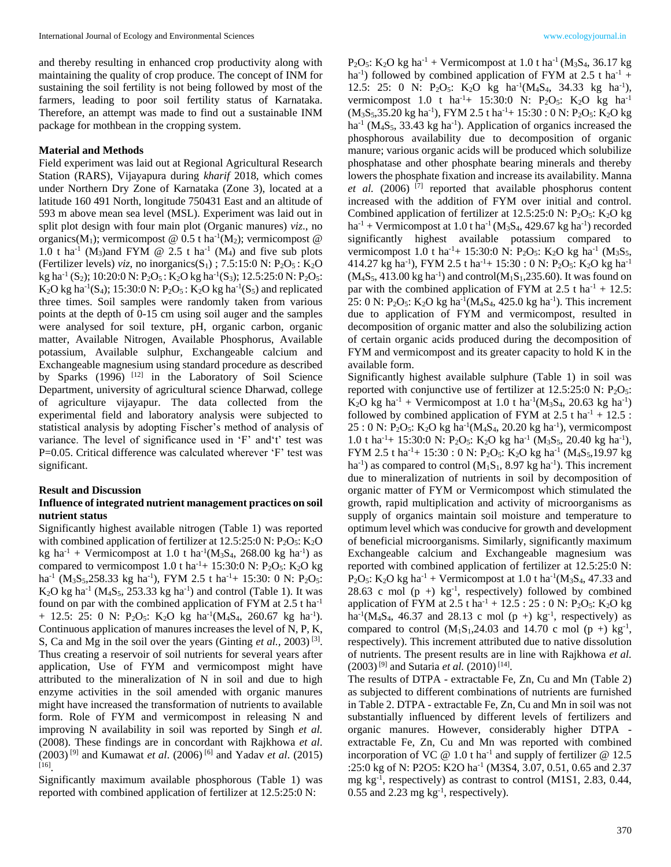and thereby resulting in enhanced crop productivity along with maintaining the quality of crop produce. The concept of INM for sustaining the soil fertility is not being followed by most of the farmers, leading to poor soil fertility status of Karnataka. Therefore, an attempt was made to find out a sustainable INM package for mothbean in the cropping system.

#### **Material and Methods**

Field experiment was laid out at Regional Agricultural Research Station (RARS), Vijayapura during *kharif* 2018, which comes under Northern Dry Zone of Karnataka (Zone 3), located at a latitude 160 491 North, longitude 750431 East and an altitude of 593 m above mean sea level (MSL). Experiment was laid out in split plot design with four main plot (Organic manures) *viz*., no organics(M<sub>1</sub>); vermicompost @ 0.5 t ha<sup>-1</sup>(M<sub>2</sub>); vermicompost @ 1.0 t ha<sup>-1</sup> (M<sub>3</sub>)and FYM @ 2.5 t ha<sup>-1</sup> (M<sub>4</sub>) and five sub plots (Fertilizer levels) *viz*, no inorganics( $S_1$ ); 7.5:15:0 N:  $P_2O_5$ : K<sub>2</sub>O kg ha<sup>-1</sup> (S<sub>2</sub>); 10:20:0 N: P<sub>2</sub>O<sub>5</sub>: K<sub>2</sub>O kg ha<sup>-1</sup>(S<sub>3</sub>); 12.5:25:0 N: P<sub>2</sub>O<sub>5</sub>:  $K_2O$  kg ha<sup>-1</sup>(S<sub>4</sub>); 15:30:0 N: P<sub>2</sub>O<sub>5</sub>: K<sub>2</sub>O kg ha<sup>-1</sup>(S<sub>5</sub>) and replicated three times. Soil samples were randomly taken from various points at the depth of 0-15 cm using soil auger and the samples were analysed for soil texture, pH, organic carbon, organic matter, Available Nitrogen, Available Phosphorus, Available potassium, Available sulphur, Exchangeable calcium and Exchangeable magnesium using standard procedure as described by Sparks (1996) [12] in the Laboratory of Soil Science Department, university of agricultural science Dharwad, college of agriculture vijayapur. The data collected from the experimental field and laboratory analysis were subjected to statistical analysis by adopting Fischer's method of analysis of variance. The level of significance used in 'F' and't' test was P=0.05. Critical difference was calculated wherever 'F' test was significant.

#### **Result and Discussion**

### **Influence of integrated nutrient management practices on soil nutrient status**

Significantly highest available nitrogen (Table 1) was reported with combined application of fertilizer at  $12.5:25:0$  N:  $P_2O_5$ :  $K_2O$  $kg$  ha<sup>-1</sup> + Vermicompost at 1.0 t ha<sup>-1</sup>( $M_3S_4$ , 268.00 kg ha<sup>-1</sup>) as compared to vermicompost 1.0 t ha<sup>-1</sup>+ 15:30:0 N: P<sub>2</sub>O<sub>5</sub>: K<sub>2</sub>O kg ha<sup>-1</sup> (M<sub>3</sub>S<sub>5</sub>,258.33 kg ha<sup>-1</sup>), FYM 2.5 t ha<sup>-1</sup>+ 15:30: 0 N: P<sub>2</sub>O<sub>5</sub>:  $K_2O$  kg ha<sup>-1</sup> ( $M_4S_5$ , 253.33 kg ha<sup>-1</sup>) and control (Table 1). It was found on par with the combined application of FYM at  $2.5$  t ha<sup>-1</sup> + 12.5: 25: 0 N:  $P_2O_5$ : K<sub>2</sub>O kg ha<sup>-1</sup>(M<sub>4</sub>S<sub>4</sub>, 260.67 kg ha<sup>-1</sup>). Continuous application of manures increases the level of N, P, K, S, Ca and Mg in the soil over the years (Ginting *et al.*, 2003)<sup>[3]</sup>. Thus creating a reservoir of soil nutrients for several years after application, Use of FYM and vermicompost might have attributed to the mineralization of N in soil and due to high enzyme activities in the soil amended with organic manures might have increased the transformation of nutrients to available form. Role of FYM and vermicompost in releasing N and improving N availability in soil was reported by Singh *et al.* (2008). These findings are in concordant with Rajkhowa *et al*. (2003) [9] and Kumawat *et al*. (2006) [6] and Yadav *et al*. (2015) [16] .

Significantly maximum available phosphorous (Table 1) was reported with combined application of fertilizer at 12.5:25:0 N:

P<sub>2</sub>O<sub>5</sub>: K<sub>2</sub>O kg ha<sup>-1</sup> + Vermicompost at 1.0 t ha<sup>-1</sup> (M<sub>3</sub>S<sub>4</sub>, 36.17 kg ha<sup>-1</sup>) followed by combined application of FYM at 2.5 t ha<sup>-1</sup> + 12.5: 25: 0 N: P<sub>2</sub>O<sub>5</sub>: K<sub>2</sub>O kg ha<sup>-1</sup>(M<sub>4</sub>S<sub>4</sub>, 34.33 kg ha<sup>-1</sup>), vermicompost 1.0 t ha<sup>-1</sup>+ 15:30:0 N: P<sub>2</sub>O<sub>5</sub>: K<sub>2</sub>O kg ha<sup>-1</sup> (M<sub>3</sub>S<sub>5</sub>,35.20 kg ha<sup>-1</sup>), FYM 2.5 t ha<sup>-1</sup>+ 15:30 : 0 N: P<sub>2</sub>O<sub>5</sub>: K<sub>2</sub>O kg ha<sup>-1</sup> ( $M_4S_5$ , 33.43 kg ha<sup>-1</sup>). Application of organics increased the phosphorous availability due to decomposition of organic manure; various organic acids will be produced which solubilize phosphatase and other phosphate bearing minerals and thereby lowers the phosphate fixation and increase its availability. Manna *et al.* (2006) [7] reported that available phosphorus content increased with the addition of FYM over initial and control. Combined application of fertilizer at  $12.5:25:0 \text{ N}$ :  $P_2O_5$ : K<sub>2</sub>O kg  $ha^{-1}$  + Vermicompost at 1.0 t ha<sup>-1</sup> (M<sub>3</sub>S<sub>4</sub>, 429.67 kg ha<sup>-1</sup>) recorded significantly highest available potassium compared to vermicompost 1.0 t ha<sup>-1</sup>+ 15:30:0 N: P<sub>2</sub>O<sub>5</sub>: K<sub>2</sub>O kg ha<sup>-1</sup> (M<sub>3</sub>S<sub>5</sub>, 414.27 kg ha<sup>-1</sup>), FYM 2.5 t ha<sup>-1</sup>+ 15:30 : 0 N: P<sub>2</sub>O<sub>5</sub>: K<sub>2</sub>O kg ha<sup>-1</sup>  $(M_4S_5, 413.00 \text{ kg} \text{ ha}^{-1})$  and control $(M_1S_1, 235.60)$ . It was found on par with the combined application of FYM at  $2.5$  t ha<sup>-1</sup> + 12.5: 25: 0 N: P<sub>2</sub>O<sub>5</sub>: K<sub>2</sub>O kg ha<sup>-1</sup>(M<sub>4</sub>S<sub>4</sub>, 425.0 kg ha<sup>-1</sup>). This increment due to application of FYM and vermicompost, resulted in decomposition of organic matter and also the solubilizing action of certain organic acids produced during the decomposition of FYM and vermicompost and its greater capacity to hold K in the available form.

Significantly highest available sulphure (Table 1) in soil was reported with conjunctive use of fertilizer at  $12.5:25:0 \text{ N: P}_2\text{O}_5$ :  $K_2O$  kg ha<sup>-1</sup> + Vermicompost at 1.0 t ha<sup>-1</sup>( $M_3S_4$ , 20.63 kg ha<sup>-1</sup>) followed by combined application of FYM at  $2.5$  t ha<sup>-1</sup> + 12.5 :  $25:0 \text{ N: } P_2O_5$ : K<sub>2</sub>O kg ha<sup>-1</sup>(M<sub>4</sub>S<sub>4</sub>, 20.20 kg ha<sup>-1</sup>), vermicompost 1.0 t ha<sup>-1</sup>+ 15:30:0 N: P<sub>2</sub>O<sub>5</sub>: K<sub>2</sub>O kg ha<sup>-1</sup> (M<sub>3</sub>S<sub>5</sub>, 20.40 kg ha<sup>-1</sup>), FYM 2.5 t ha<sup>-1</sup>+ 15:30 : 0 N: P<sub>2</sub>O<sub>5</sub>: K<sub>2</sub>O kg ha<sup>-1</sup> (M<sub>4</sub>S<sub>5</sub>,19.97 kg ha<sup>-1</sup>) as compared to control  $(M_1S_1, 8.97 kg ha<sup>-1</sup>)$ . This increment due to mineralization of nutrients in soil by decomposition of organic matter of FYM or Vermicompost which stimulated the growth, rapid multiplication and activity of microorganisms as supply of organics maintain soil moisture and temperature to optimum level which was conducive for growth and development of beneficial microorganisms. Similarly, significantly maximum Exchangeable calcium and Exchangeable magnesium was reported with combined application of fertilizer at 12.5:25:0 N:  $P_2O_5$ : K<sub>2</sub>O kg ha<sup>-1</sup> + Vermicompost at 1.0 t ha<sup>-1</sup>(M<sub>3</sub>S<sub>4</sub>, 47.33 and 28.63 c mol  $(p +)$  kg<sup>-1</sup>, respectively) followed by combined application of FYM at 2.5 t ha<sup>-1</sup> + 12.5 : 25 : 0 N: P<sub>2</sub>O<sub>5</sub>: K<sub>2</sub>O kg ha<sup>-1</sup>(M<sub>4</sub>S<sub>4</sub>, 46.37 and 28.13 c mol ( $p +$ ) kg<sup>-1</sup>, respectively) as compared to control  $(M_1S_1, 24.03$  and 14.70 c mol  $(p +)$  kg<sup>-1</sup>, respectively). This increment attributed due to native dissolution of nutrients. The present results are in line with Rajkhowa *et al.*   $(2003)^{9}$  and Sutaria *et al.*  $(2010)^{14}$ .

The results of DTPA - extractable Fe, Zn, Cu and Mn (Table 2) as subjected to different combinations of nutrients are furnished in Table 2. DTPA - extractable Fe, Zn, Cu and Mn in soil was not substantially influenced by different levels of fertilizers and organic manures. However, considerably higher DTPA extractable Fe, Zn, Cu and Mn was reported with combined incorporation of VC  $\omega$  1.0 t ha<sup>-1</sup> and supply of fertilizer  $\omega$  12.5 :25:0 kg of N: P2O5: K2O ha<sup>-1</sup> (M3S4, 3.07, 0.51, 0.65 and 2.37 mg kg-1 , respectively) as contrast to control (M1S1, 2.83, 0.44,  $0.55$  and  $2.23$  mg kg<sup>-1</sup>, respectively).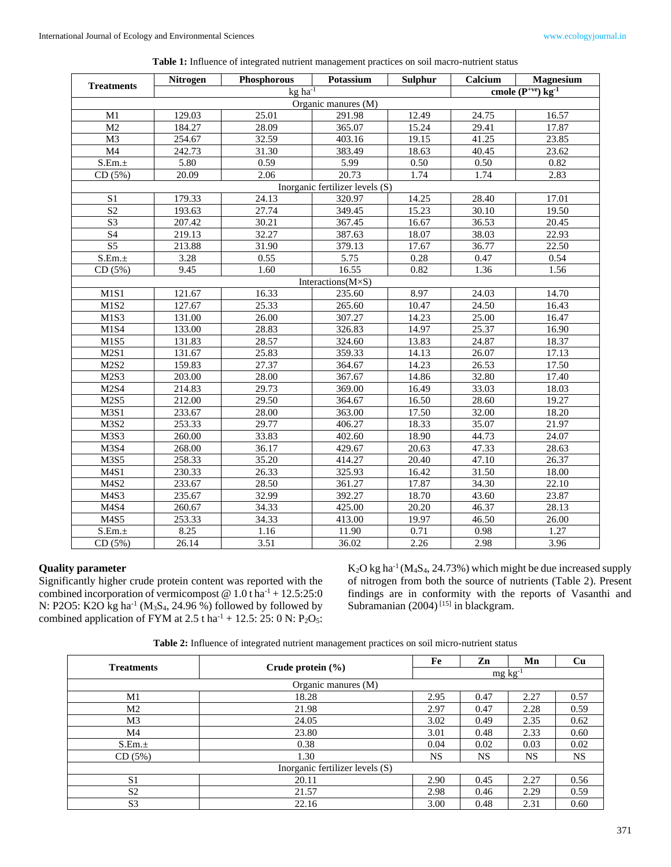| <b>Treatments</b>   | Nitrogen | Phosphorous             | Potassium                       | <b>Sulphur</b>     | Calcium | <b>Magnesium</b>                   |
|---------------------|----------|-------------------------|---------------------------------|--------------------|---------|------------------------------------|
|                     |          | $kg \overline{ha^{-1}}$ |                                 |                    |         | cmole $(P^{+ve})$ kg <sup>-1</sup> |
| Organic manures (M) |          |                         |                                 |                    |         |                                    |
| M1                  | 129.03   | 25.01                   | 291.98                          | 12.49              | 24.75   | 16.57                              |
| M2                  | 184.27   | 28.09                   | 365.07                          | 15.24              | 29.41   | 17.87                              |
| M3                  | 254.67   | 32.59                   | 403.16                          | 19.15              | 41.25   | 23.85                              |
| M4                  | 242.73   | 31.30                   | 383.49                          | 18.63              | 40.45   | 23.62                              |
| S.Em.±              | 5.80     | 0.59                    | 5.99                            | 0.50               | 0.50    | 0.82                               |
| CD(5%)              | 20.09    | 2.06                    | 20.73                           | 1.74               | 1.74    | 2.83                               |
|                     |          |                         | Inorganic fertilizer levels (S) |                    |         |                                    |
| S <sub>1</sub>      | 179.33   | 24.13                   | 320.97                          | 14.25              | 28.40   | 17.01                              |
| S <sub>2</sub>      | 193.63   | 27.74                   | 349.45                          | 15.23              | 30.10   | 19.50                              |
| S <sub>3</sub>      | 207.42   | 30.21                   | 367.45                          | 16.67              | 36.53   | 20.45                              |
| $\overline{S4}$     | 219.13   | 32.27                   | 387.63                          | 18.07              | 38.03   | 22.93                              |
| $\overline{S5}$     | 213.88   | 31.90                   | 379.13                          | 17.67              | 36.77   | 22.50                              |
| S.Em.±              | 3.28     | 0.55                    | $\overline{5.75}$               | 0.28               | 0.47    | 0.54                               |
| CD(5%)              | 9.45     | 1.60                    | 16.55                           | 0.82               | 1.36    | 1.56                               |
|                     |          |                         | Interactions( $M \times S$ )    |                    |         |                                    |
| M1S1                | 121.67   | 16.33                   | 235.60                          | 8.97               | 24.03   | 14.70                              |
| M1S2                | 127.67   | 25.33                   | 265.60                          | 10.47              | 24.50   | 16.43                              |
| M1S3                | 131.00   | 26.00                   | 307.27                          | 14.23              | 25.00   | 16.47                              |
| M1S4                | 133.00   | 28.83                   | 326.83                          | 14.97              | 25.37   | 16.90                              |
| M1S5                | 131.83   | 28.57                   | 324.60                          | 13.83              | 24.87   | 18.37                              |
| M2S1                | 131.67   | 25.83                   | 359.33                          | 14.13              | 26.07   | 17.13                              |
| M2S2                | 159.83   | 27.37                   | 364.67                          | 14.23              | 26.53   | 17.50                              |
| M2S3                | 203.00   | 28.00                   | 367.67                          | 14.86              | 32.80   | 17.40                              |
| M2S4                | 214.83   | 29.73                   | 369.00                          | 16.49              | 33.03   | 18.03                              |
| M2S5                | 212.00   | 29.50                   | 364.67                          | 16.50              | 28.60   | 19.27                              |
| M3S1                | 233.67   | 28.00                   | 363.00                          | 17.50              | 32.00   | 18.20                              |
| M3S2                | 253.33   | 29.77                   | 406.27                          | 18.33              | 35.07   | 21.97                              |
| M3S3                | 260.00   | 33.83                   | 402.60                          | 18.90              | 44.73   | 24.07                              |
| M3S4                | 268.00   | 36.17                   | 429.67                          | 20.63              | 47.33   | 28.63                              |
| M3S5                | 258.33   | 35.20                   | 414.27                          | 20.40              | 47.10   | 26.37                              |
| M4S1                | 230.33   | 26.33                   | 325.93                          | 16.42              | 31.50   | 18.00                              |
| M4S2                | 233.67   | 28.50                   | 361.27                          | 17.87              | 34.30   | 22.10                              |
| M4S3                | 235.67   | 32.99                   | 392.27                          | 18.70              | 43.60   | 23.87                              |
| M4S4                | 260.67   | 34.33                   | 425.00                          | $20.\overline{20}$ | 46.37   | 28.13                              |
| M4S5                | 253.33   | 34.33                   | 413.00                          | 19.97              | 46.50   | 26.00                              |
| S.Em.±              | 8.25     | 1.16                    | 11.90                           | 0.71               | 0.98    | 1.27                               |
| CD(5%)              | 26.14    | 3.51                    | 36.02                           | 2.26               | 2.98    | 3.96                               |

**Table 1:** Influence of integrated nutrient management practices on soil macro-nutrient status

#### **Quality parameter**

Significantly higher crude protein content was reported with the combined incorporation of vermicompost  $@ 1.0$  t ha<sup>-1</sup> + 12.5:25:0 N: P2O5: K2O kg ha<sup>-1</sup> ( $M_3S_4$ , 24.96 %) followed by followed by combined application of FYM at  $2.5$  t ha<sup>-1</sup> + 12.5: 25: 0 N: P<sub>2</sub>O<sub>5</sub>:  $K_2O$  kg ha<sup>-1</sup> (M<sub>4</sub>S<sub>4</sub>, 24.73%) which might be due increased supply of nitrogen from both the source of nutrients (Table 2). Present findings are in conformity with the reports of Vasanthi and Subramanian  $(2004)$ <sup>[15]</sup> in blackgram.

**Table 2:** Influence of integrated nutrient management practices on soil micro-nutrient status

| <b>Treatments</b>               | Crude protein $(\% )$ | Fe        | Zn              | Mn        | Cu        |
|---------------------------------|-----------------------|-----------|-----------------|-----------|-----------|
|                                 |                       |           | $mg \, kg^{-1}$ |           |           |
|                                 | Organic manures (M)   |           |                 |           |           |
| M1                              | 18.28                 | 2.95      | 0.47            | 2.27      | 0.57      |
| M2                              | 21.98                 | 2.97      | 0.47            | 2.28      | 0.59      |
| M <sub>3</sub>                  | 24.05                 | 3.02      | 0.49            | 2.35      | 0.62      |
| M4                              | 23.80                 | 3.01      | 0.48            | 2.33      | 0.60      |
| S.Em.±                          | 0.38                  | 0.04      | 0.02            | 0.03      | 0.02      |
| CD(5%)                          | 1.30                  | <b>NS</b> | NS              | <b>NS</b> | <b>NS</b> |
| Inorganic fertilizer levels (S) |                       |           |                 |           |           |
| S <sub>1</sub>                  | 20.11                 | 2.90      | 0.45            | 2.27      | 0.56      |
| S <sub>2</sub>                  | 21.57                 | 2.98      | 0.46            | 2.29      | 0.59      |
| S <sub>3</sub>                  | 22.16                 | 3.00      | 0.48            | 2.31      | 0.60      |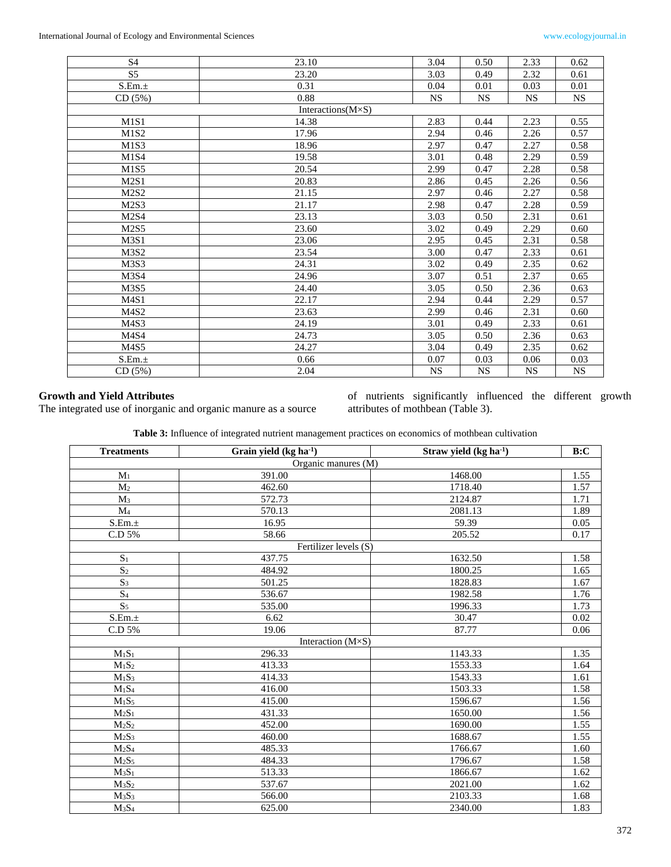| S <sub>4</sub>                | 23.10                       | 3.04      | 0.50      | 2.33      | 0.62      |
|-------------------------------|-----------------------------|-----------|-----------|-----------|-----------|
| S <sub>5</sub>                | 23.20                       | 3.03      | 0.49      | 2.32      | 0.61      |
| S.Em.±                        | 0.31                        | 0.04      | 0.01      | 0.03      | 0.01      |
| CD(5%)                        | 0.88                        | <b>NS</b> | <b>NS</b> | <b>NS</b> | <b>NS</b> |
|                               | Interactions $(M \times S)$ |           |           |           |           |
| M <sub>1</sub> S <sub>1</sub> | 14.38                       | 2.83      | 0.44      | 2.23      | 0.55      |
| M <sub>1</sub> S <sub>2</sub> | 17.96                       | 2.94      | 0.46      | 2.26      | 0.57      |
| M1S3                          | 18.96                       | 2.97      | 0.47      | 2.27      | 0.58      |
| M1S4                          | 19.58                       | 3.01      | 0.48      | 2.29      | 0.59      |
| M1S5                          | 20.54                       | 2.99      | 0.47      | 2.28      | 0.58      |
| M2S1                          | 20.83                       | 2.86      | 0.45      | 2.26      | 0.56      |
| M2S2                          | 21.15                       | 2.97      | 0.46      | 2.27      | 0.58      |
| M <sub>2</sub> S <sub>3</sub> | 21.17                       | 2.98      | 0.47      | 2.28      | 0.59      |
| M <sub>2</sub> S <sub>4</sub> | 23.13                       | 3.03      | 0.50      | 2.31      | 0.61      |
| <b>M2S5</b>                   | 23.60                       | 3.02      | 0.49      | 2.29      | 0.60      |
| M3S1                          | 23.06                       | 2.95      | 0.45      | 2.31      | 0.58      |
| M3S2                          | 23.54                       | 3.00      | 0.47      | 2.33      | 0.61      |
| M3S3                          | 24.31                       | 3.02      | 0.49      | 2.35      | 0.62      |
| M3S4                          | 24.96                       | 3.07      | 0.51      | 2.37      | 0.65      |
| M3S5                          | 24.40                       | 3.05      | 0.50      | 2.36      | 0.63      |
| M4S1                          | 22.17                       | 2.94      | 0.44      | 2.29      | 0.57      |
| M4S <sub>2</sub>              | 23.63                       | 2.99      | 0.46      | 2.31      | 0.60      |
| M <sub>4</sub> S <sub>3</sub> | 24.19                       | 3.01      | 0.49      | 2.33      | 0.61      |
| M4S4                          | 24.73                       | 3.05      | 0.50      | 2.36      | 0.63      |
| M4S5                          | 24.27                       | 3.04      | 0.49      | 2.35      | 0.62      |
| S.Em.±                        | 0.66                        | 0.07      | 0.03      | 0.06      | 0.03      |
| CD(5%)                        | 2.04                        | <b>NS</b> | <b>NS</b> | <b>NS</b> | <b>NS</b> |
|                               |                             |           |           |           |           |

# **Growth and Yield Attributes**

The integrated use of inorganic and organic manure as a source

of nutrients significantly influenced the different growth attributes of mothbean (Table 3).

| <b>Table 3:</b> Influence of integrated nutrient management practices on economics of mothbean cultivation |  |  |
|------------------------------------------------------------------------------------------------------------|--|--|
|                                                                                                            |  |  |

| <b>Treatments</b>             | Grain yield (kg ha <sup>-1</sup> ) | Straw yield (kg ha <sup>-1</sup> ) | B:C  |
|-------------------------------|------------------------------------|------------------------------------|------|
|                               | Organic manures (M)                |                                    |      |
| M <sub>1</sub>                | 391.00                             | 1468.00                            | 1.55 |
| M <sub>2</sub>                | 462.60                             | 1718.40                            | 1.57 |
| $M_3$                         | 572.73                             | 2124.87                            | 1.71 |
| M <sub>4</sub>                | 570.13                             | 2081.13                            | 1.89 |
| S.Em.±                        | 16.95                              | 59.39                              | 0.05 |
| C.D 5%                        | 58.66                              | 205.52                             | 0.17 |
|                               | Fertilizer levels (S)              |                                    |      |
| $S_1$                         | 437.75                             | 1632.50                            | 1.58 |
| $\overline{S_2}$              | 484.92                             | 1800.25                            | 1.65 |
| $\overline{S_3}$              | 501.25                             | 1828.83                            | 1.67 |
| $\overline{S_4}$              | 536.67                             | 1982.58                            | 1.76 |
| S <sub>5</sub>                | 535.00                             | 1996.33                            | 1.73 |
| S.Em.±                        | 6.62                               | 30.47                              | 0.02 |
| $\rm C.D$ 5%                  | 19.06                              | 87.77                              | 0.06 |
|                               | Interaction $(M\times S)$          |                                    |      |
| $\mathbf{M}_1\mathbf{S}_1$    | 296.33                             | 1143.33                            | 1.35 |
| M <sub>1</sub> S <sub>2</sub> | 413.33                             | 1553.33                            | 1.64 |
| $M_1S_3$                      | 414.33                             | 1543.33                            | 1.61 |
| $M_1S_4$                      | 416.00                             | 1503.33                            | 1.58 |
| $M_1S_5$                      | 415.00                             | 1596.67                            | 1.56 |
| $M_2S_1$                      | 431.33                             | 1650.00                            | 1.56 |
| $M_2S_2$                      | 452.00                             | 1690.00                            | 1.55 |
| $M_2S_3$                      | 460.00                             | 1688.67                            | 1.55 |
| $M_2S_4$                      | 485.33                             | 1766.67                            | 1.60 |
| $M_2S_5$                      | 484.33                             | 1796.67                            | 1.58 |
| $M_3S_1$                      | 513.33                             | 1866.67                            | 1.62 |
| $M_3S_2$                      | 537.67                             | 2021.00                            | 1.62 |
| M <sub>3</sub> S <sub>3</sub> | 566.00                             | 2103.33                            | 1.68 |
| $M_3S_4$                      | 625.00                             | 2340.00                            | 1.83 |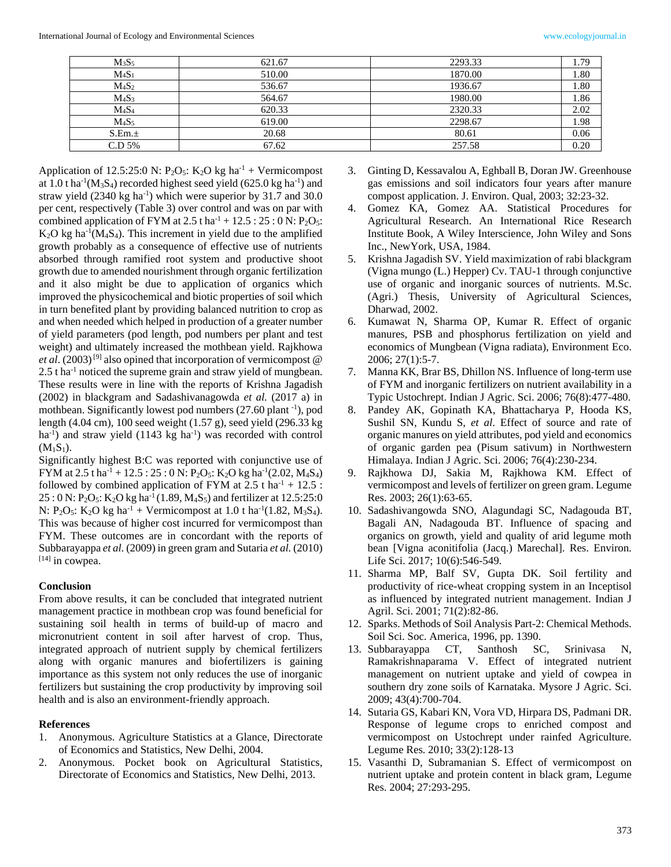| $M_3S_5$ | 621.67 | 2293.33 | 1.79 |
|----------|--------|---------|------|
| $M_4S_1$ | 510.00 | 1870.00 | 1.80 |
| $M_4S_2$ | 536.67 | 1936.67 | 1.80 |
| $M_4S_3$ | 564.67 | 1980.00 | 1.86 |
| $M_4S_4$ | 620.33 | 2320.33 | 2.02 |
| $M_4S_5$ | 619.00 | 2298.67 | 1.98 |
| S.Em.±   | 20.68  | 80.61   | 0.06 |
| C.D 5%   | 67.62  | 257.58  | 0.20 |

Application of 12.5:25:0 N:  $P_2O_5$ : K<sub>2</sub>O kg ha<sup>-1</sup> + Vermicompost at  $1.0$  t ha<sup>-1</sup>( $M_3S_4$ ) recorded highest seed yield (625.0 kg ha<sup>-1</sup>) and straw yield (2340 kg ha<sup>-1</sup>) which were superior by 31.7 and 30.0 per cent, respectively (Table 3) over control and was on par with combined application of FYM at  $2.5$  t ha<sup>-1</sup> +  $12.5$  :  $25$  : 0 N: P<sub>2</sub>O<sub>5</sub>:  $K_2O$  kg ha<sup>-1</sup>( $M_4S_4$ ). This increment in yield due to the amplified growth probably as a consequence of effective use of nutrients absorbed through ramified root system and productive shoot growth due to amended nourishment through organic fertilization and it also might be due to application of organics which improved the physicochemical and biotic properties of soil which in turn benefited plant by providing balanced nutrition to crop as and when needed which helped in production of a greater number of yield parameters (pod length, pod numbers per plant and test weight) and ultimately increased the mothbean yield. Rajkhowa *et al.* (2003)<sup>[9]</sup> also opined that incorporation of vermicompost  $\omega$  $2.5$  t ha<sup>-1</sup> noticed the supreme grain and straw yield of mungbean. These results were in line with the reports of Krishna Jagadish (2002) in blackgram and Sadashivanagowda *et al.* (2017 a) in mothbean. Significantly lowest pod numbers (27.60 plant<sup>-1</sup>), pod length (4.04 cm), 100 seed weight (1.57 g), seed yield (296.33 kg  $ha^{-1}$ ) and straw yield (1143 kg  $ha^{-1}$ ) was recorded with control  $(M_1S_1)$ .

Significantly highest B:C was reported with conjunctive use of FYM at 2.5 t ha<sup>-1</sup> + 12.5 : 25 : 0 N: P<sub>2</sub>O<sub>5</sub>: K<sub>2</sub>O kg ha<sup>-1</sup>(2.02, M<sub>4</sub>S<sub>4</sub>) followed by combined application of FYM at  $2.5$  t ha<sup>-1</sup> + 12.5 :  $25:0 \text{ N}: P_2O_5$ : K<sub>2</sub>O kg ha<sup>-1</sup> (1.89, M<sub>4</sub>S<sub>5</sub>) and fertilizer at 12.5:25:0 N: P<sub>2</sub>O<sub>5</sub>: K<sub>2</sub>O kg ha<sup>-1</sup> + Vermicompost at 1.0 t ha<sup>-1</sup>(1.82, M<sub>3</sub>S<sub>4</sub>). This was because of higher cost incurred for vermicompost than FYM. These outcomes are in concordant with the reports of Subbarayappa *et al.* (2009) in green gram and Sutaria *et al.* (2010)  $[14]$  in cowpea.

#### **Conclusion**

From above results, it can be concluded that integrated nutrient management practice in mothbean crop was found beneficial for sustaining soil health in terms of build-up of macro and micronutrient content in soil after harvest of crop. Thus, integrated approach of nutrient supply by chemical fertilizers along with organic manures and biofertilizers is gaining importance as this system not only reduces the use of inorganic fertilizers but sustaining the crop productivity by improving soil health and is also an environment-friendly approach.

#### **References**

- 1. Anonymous. Agriculture Statistics at a Glance, Directorate of Economics and Statistics, New Delhi, 2004.
- 2. Anonymous. Pocket book on Agricultural Statistics, Directorate of Economics and Statistics, New Delhi, 2013.
- 3. Ginting D, Kessavalou A, Eghball B, Doran JW. Greenhouse gas emissions and soil indicators four years after manure compost application. J. Environ. Qual, 2003; 32:23-32.
- 4. Gomez KA, Gomez AA. Statistical Procedures for Agricultural Research. An International Rice Research Institute Book, A Wiley Interscience, John Wiley and Sons Inc., NewYork, USA, 1984.
- 5. Krishna Jagadish SV. Yield maximization of rabi blackgram (Vigna mungo (L.) Hepper) Cv. TAU-1 through conjunctive use of organic and inorganic sources of nutrients. M.Sc. (Agri.) Thesis, University of Agricultural Sciences, Dharwad, 2002.
- 6. Kumawat N, Sharma OP, Kumar R. Effect of organic manures, PSB and phosphorus fertilization on yield and economics of Mungbean (Vigna radiata), Environment Eco. 2006; 27(1):5-7.
- 7. Manna KK, Brar BS, Dhillon NS. Influence of long-term use of FYM and inorganic fertilizers on nutrient availability in a Typic Ustochrept. Indian J Agric. Sci. 2006; 76(8):477-480.
- 8. Pandey AK, Gopinath KA, Bhattacharya P, Hooda KS, Sushil SN, Kundu S, *et al*. Effect of source and rate of organic manures on yield attributes, pod yield and economics of organic garden pea (Pisum sativum) in Northwestern Himalaya. Indian J Agric. Sci. 2006; 76(4):230-234.
- 9. Rajkhowa DJ, Sakia M, Rajkhowa KM. Effect of vermicompost and levels of fertilizer on green gram. Legume Res. 2003; 26(1):63-65.
- 10. Sadashivangowda SNO, Alagundagi SC, Nadagouda BT, Bagali AN, Nadagouda BT. Influence of spacing and organics on growth, yield and quality of arid legume moth bean [Vigna aconitifolia (Jacq.) Marechal]. Res. Environ. Life Sci. 2017; 10(6):546-549.
- 11. Sharma MP, Balf SV, Gupta DK. Soil fertility and productivity of rice-wheat cropping system in an Inceptisol as influenced by integrated nutrient management. Indian J Agril. Sci. 2001; 71(2):82-86.
- 12. Sparks. Methods of Soil Analysis Part-2: Chemical Methods. Soil Sci. Soc. America, 1996, pp. 1390.
- 13. Subbarayappa CT, Santhosh SC, Srinivasa N, Ramakrishnaparama V. Effect of integrated nutrient management on nutrient uptake and yield of cowpea in southern dry zone soils of Karnataka. Mysore J Agric. Sci. 2009; 43(4):700-704.
- 14. Sutaria GS, Kabari KN, Vora VD, Hirpara DS, Padmani DR. Response of legume crops to enriched compost and vermicompost on Ustochrept under rainfed Agriculture. Legume Res. 2010; 33(2):128-13
- 15. Vasanthi D, Subramanian S. Effect of vermicompost on nutrient uptake and protein content in black gram, Legume Res. 2004; 27:293-295.